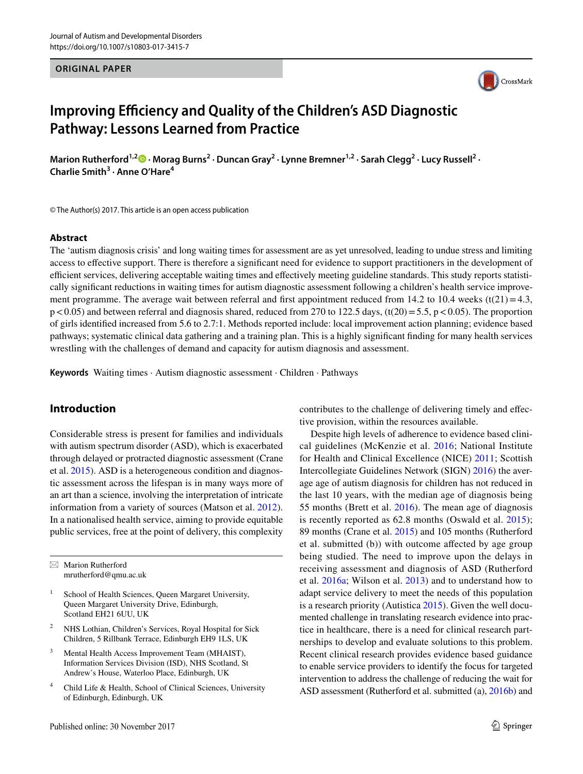#### **ORIGINAL PAPER**



# **Improving Efficiency and Quality of the Children's ASD Diagnostic Pathway: Lessons Learned from Practice**

Marion Rutherford<sup>1,[2](http://orcid.org/0000-0002-2283-6736)</sup><sup>0</sup> · Morag Burns<sup>2</sup> · Duncan Gray<sup>2</sup> · Lynne Bremner<sup>1,2</sup> · Sarah Clegg<sup>2</sup> · Lucy Russell<sup>2</sup> · **Charlie Smith3 · Anne O'Hare4**

© The Author(s) 2017. This article is an open access publication

#### **Abstract**

The 'autism diagnosis crisis' and long waiting times for assessment are as yet unresolved, leading to undue stress and limiting access to effective support. There is therefore a significant need for evidence to support practitioners in the development of efficient services, delivering acceptable waiting times and effectively meeting guideline standards. This study reports statistically significant reductions in waiting times for autism diagnostic assessment following a children's health service improvement programme. The average wait between referral and first appointment reduced from 14.2 to 10.4 weeks (t(21)=4.3,  $p < 0.05$ ) and between referral and diagnosis shared, reduced from 270 to 122.5 days, (t(20) = 5.5, p < 0.05). The proportion of girls identified increased from 5.6 to 2.7:1. Methods reported include: local improvement action planning; evidence based pathways; systematic clinical data gathering and a training plan. This is a highly significant finding for many health services wrestling with the challenges of demand and capacity for autism diagnosis and assessment.

**Keywords** Waiting times · Autism diagnostic assessment · Children · Pathways

## **Introduction**

Considerable stress is present for families and individuals with autism spectrum disorder (ASD), which is exacerbated through delayed or protracted diagnostic assessment (Crane et al. [2015](#page-15-0)). ASD is a heterogeneous condition and diagnostic assessment across the lifespan is in many ways more of an art than a science, involving the interpretation of intricate information from a variety of sources (Matson et al. [2012](#page-15-1)). In a nationalised health service, aiming to provide equitable public services, free at the point of delivery, this complexity

 $\boxtimes$  Marion Rutherford mrutherford@qmu.ac.uk

- <sup>1</sup> School of Health Sciences, Queen Margaret University, Queen Margaret University Drive, Edinburgh, Scotland EH21 6UU, UK
- <sup>2</sup> NHS Lothian, Children's Services, Royal Hospital for Sick Children, 5 Rillbank Terrace, Edinburgh EH9 1LS, UK
- <sup>3</sup> Mental Health Access Improvement Team (MHAIST), Information Services Division (ISD), NHS Scotland, St Andrew's House, Waterloo Place, Edinburgh, UK
- <sup>4</sup> Child Life & Health, School of Clinical Sciences, University of Edinburgh, Edinburgh, UK

contributes to the challenge of delivering timely and effective provision, within the resources available.

Despite high levels of adherence to evidence based clinical guidelines (McKenzie et al. [2016](#page-15-2); National Institute for Health and Clinical Excellence (NICE) [2011;](#page-15-3) Scottish Intercollegiate Guidelines Network (SIGN) [2016\)](#page-16-0) the average age of autism diagnosis for children has not reduced in the last 10 years, with the median age of diagnosis being 55 months (Brett et al. [2016\)](#page-15-4). The mean age of diagnosis is recently reported as 62.8 months (Oswald et al. [2015](#page-15-5)); 89 months (Crane et al. [2015\)](#page-15-0) and 105 months (Rutherford et al. submitted (b)) with outcome affected by age group being studied. The need to improve upon the delays in receiving assessment and diagnosis of ASD (Rutherford et al. [2016a;](#page-16-1) Wilson et al. [2013\)](#page-16-2) and to understand how to adapt service delivery to meet the needs of this population is a research priority (Autistica [2015](#page-15-6)). Given the well documented challenge in translating research evidence into practice in healthcare, there is a need for clinical research partnerships to develop and evaluate solutions to this problem. Recent clinical research provides evidence based guidance to enable service providers to identify the focus for targeted intervention to address the challenge of reducing the wait for ASD assessment (Rutherford et al. submitted (a), [2016b\)](#page-16-3) and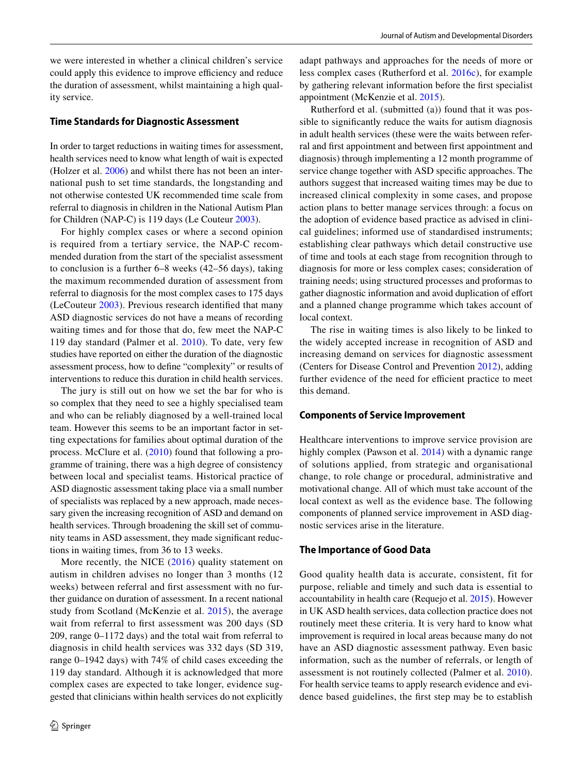we were interested in whether a clinical children's service could apply this evidence to improve efficiency and reduce the duration of assessment, whilst maintaining a high quality service.

#### **Time Standards for Diagnostic Assessment**

In order to target reductions in waiting times for assessment, health services need to know what length of wait is expected (Holzer et al. [2006\)](#page-15-7) and whilst there has not been an international push to set time standards, the longstanding and not otherwise contested UK recommended time scale from referral to diagnosis in children in the National Autism Plan for Children (NAP-C) is 119 days (Le Couteur [2003\)](#page-15-8).

For highly complex cases or where a second opinion is required from a tertiary service, the NAP-C recommended duration from the start of the specialist assessment to conclusion is a further 6–8 weeks (42–56 days), taking the maximum recommended duration of assessment from referral to diagnosis for the most complex cases to 175 days (LeCouteur [2003\)](#page-15-8). Previous research identified that many ASD diagnostic services do not have a means of recording waiting times and for those that do, few meet the NAP-C 119 day standard (Palmer et al. [2010](#page-15-9)). To date, very few studies have reported on either the duration of the diagnostic assessment process, how to define "complexity" or results of interventions to reduce this duration in child health services.

The jury is still out on how we set the bar for who is so complex that they need to see a highly specialised team and who can be reliably diagnosed by a well-trained local team. However this seems to be an important factor in setting expectations for families about optimal duration of the process. McClure et al. [\(2010](#page-15-10)) found that following a programme of training, there was a high degree of consistency between local and specialist teams. Historical practice of ASD diagnostic assessment taking place via a small number of specialists was replaced by a new approach, made necessary given the increasing recognition of ASD and demand on health services. Through broadening the skill set of community teams in ASD assessment, they made significant reductions in waiting times, from 36 to 13 weeks.

More recently, the NICE ([2016\)](#page-15-11) quality statement on autism in children advises no longer than 3 months (12 weeks) between referral and first assessment with no further guidance on duration of assessment. In a recent national study from Scotland (McKenzie et al. [2015\)](#page-15-12), the average wait from referral to first assessment was 200 days (SD 209, range 0–1172 days) and the total wait from referral to diagnosis in child health services was 332 days (SD 319, range 0–1942 days) with 74% of child cases exceeding the 119 day standard. Although it is acknowledged that more complex cases are expected to take longer, evidence suggested that clinicians within health services do not explicitly adapt pathways and approaches for the needs of more or less complex cases (Rutherford et al. [2016c](#page-16-4)), for example by gathering relevant information before the first specialist appointment (McKenzie et al. [2015\)](#page-15-12).

Rutherford et al. (submitted (a)) found that it was possible to significantly reduce the waits for autism diagnosis in adult health services (these were the waits between referral and first appointment and between first appointment and diagnosis) through implementing a 12 month programme of service change together with ASD specific approaches. The authors suggest that increased waiting times may be due to increased clinical complexity in some cases, and propose action plans to better manage services through: a focus on the adoption of evidence based practice as advised in clinical guidelines; informed use of standardised instruments; establishing clear pathways which detail constructive use of time and tools at each stage from recognition through to diagnosis for more or less complex cases; consideration of training needs; using structured processes and proformas to gather diagnostic information and avoid duplication of effort and a planned change programme which takes account of local context.

The rise in waiting times is also likely to be linked to the widely accepted increase in recognition of ASD and increasing demand on services for diagnostic assessment (Centers for Disease Control and Prevention [2012](#page-15-13)), adding further evidence of the need for efficient practice to meet this demand.

### **Components of Service Improvement**

Healthcare interventions to improve service provision are highly complex (Pawson et al. [2014\)](#page-15-14) with a dynamic range of solutions applied, from strategic and organisational change, to role change or procedural, administrative and motivational change. All of which must take account of the local context as well as the evidence base. The following components of planned service improvement in ASD diagnostic services arise in the literature.

#### **The Importance of Good Data**

Good quality health data is accurate, consistent, fit for purpose, reliable and timely and such data is essential to accountability in health care (Requejo et al. [2015](#page-15-15)). However in UK ASD health services, data collection practice does not routinely meet these criteria. It is very hard to know what improvement is required in local areas because many do not have an ASD diagnostic assessment pathway. Even basic information, such as the number of referrals, or length of assessment is not routinely collected (Palmer et al. [2010](#page-15-9)). For health service teams to apply research evidence and evidence based guidelines, the first step may be to establish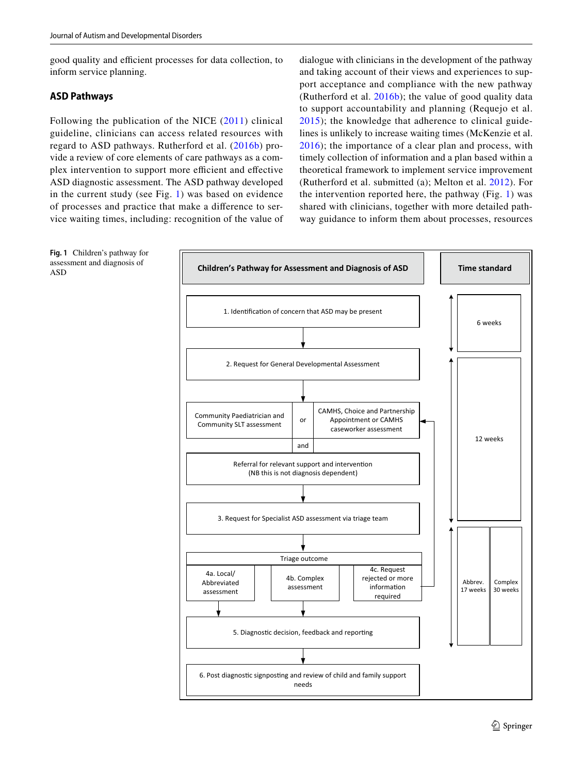good quality and efficient processes for data collection, to inform service planning.

#### **ASD Pathways**

Following the publication of the NICE ([2011\)](#page-15-3) clinical guideline, clinicians can access related resources with regard to ASD pathways. Rutherford et al. ([2016b](#page-16-3)) provide a review of core elements of care pathways as a complex intervention to support more efficient and effective ASD diagnostic assessment. The ASD pathway developed in the current study (see Fig. [1\)](#page-2-0) was based on evidence of processes and practice that make a difference to service waiting times, including: recognition of the value of dialogue with clinicians in the development of the pathway and taking account of their views and experiences to support acceptance and compliance with the new pathway (Rutherford et al. [2016b](#page-16-3)); the value of good quality data to support accountability and planning (Requejo et al. [2015](#page-15-15)); the knowledge that adherence to clinical guidelines is unlikely to increase waiting times (McKenzie et al. [2016](#page-15-2)); the importance of a clear plan and process, with timely collection of information and a plan based within a theoretical framework to implement service improvement (Rutherford et al. submitted (a); Melton et al. [2012\)](#page-15-16). For the intervention reported here, the pathway (Fig. [1\)](#page-2-0) was shared with clinicians, together with more detailed pathway guidance to inform them about processes, resources



<span id="page-2-0"></span>**Fig. 1** Children's pathway for assessment and diagnosis of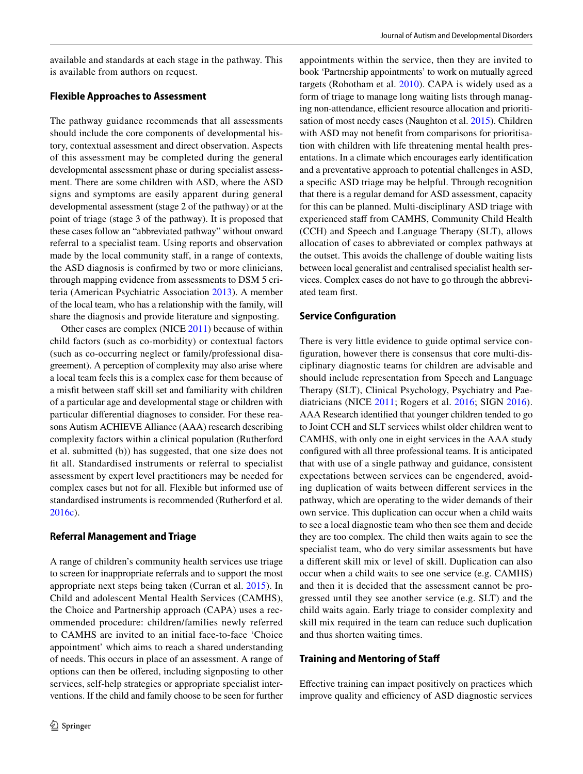available and standards at each stage in the pathway. This is available from authors on request.

#### **Flexible Approaches to Assessment**

The pathway guidance recommends that all assessments should include the core components of developmental history, contextual assessment and direct observation. Aspects of this assessment may be completed during the general developmental assessment phase or during specialist assessment. There are some children with ASD, where the ASD signs and symptoms are easily apparent during general developmental assessment (stage 2 of the pathway) or at the point of triage (stage 3 of the pathway). It is proposed that these cases follow an "abbreviated pathway" without onward referral to a specialist team. Using reports and observation made by the local community staff, in a range of contexts, the ASD diagnosis is confirmed by two or more clinicians, through mapping evidence from assessments to DSM 5 criteria (American Psychiatric Association [2013](#page-15-17)). A member of the local team, who has a relationship with the family, will share the diagnosis and provide literature and signposting.

Other cases are complex (NICE [2011](#page-15-3)) because of within child factors (such as co-morbidity) or contextual factors (such as co-occurring neglect or family/professional disagreement). A perception of complexity may also arise where a local team feels this is a complex case for them because of a misfit between staff skill set and familiarity with children of a particular age and developmental stage or children with particular differential diagnoses to consider. For these reasons Autism ACHIEVE Alliance (AAA) research describing complexity factors within a clinical population (Rutherford et al. submitted (b)) has suggested, that one size does not fit all. Standardised instruments or referral to specialist assessment by expert level practitioners may be needed for complex cases but not for all. Flexible but informed use of standardised instruments is recommended (Rutherford et al. [2016c\)](#page-16-4).

#### **Referral Management and Triage**

A range of children's community health services use triage to screen for inappropriate referrals and to support the most appropriate next steps being taken (Curran et al. [2015\)](#page-15-18). In Child and adolescent Mental Health Services (CAMHS), the Choice and Partnership approach (CAPA) uses a recommended procedure: children/families newly referred to CAMHS are invited to an initial face-to-face 'Choice appointment' which aims to reach a shared understanding of needs. This occurs in place of an assessment. A range of options can then be offered, including signposting to other services, self-help strategies or appropriate specialist interventions. If the child and family choose to be seen for further appointments within the service, then they are invited to book 'Partnership appointments' to work on mutually agreed targets (Robotham et al. [2010](#page-16-5)). CAPA is widely used as a form of triage to manage long waiting lists through managing non-attendance, efficient resource allocation and prioritisation of most needy cases (Naughton et al. [2015](#page-15-19)). Children with ASD may not benefit from comparisons for prioritisation with children with life threatening mental health presentations. In a climate which encourages early identification and a preventative approach to potential challenges in ASD, a specific ASD triage may be helpful. Through recognition that there is a regular demand for ASD assessment, capacity for this can be planned. Multi-disciplinary ASD triage with experienced staff from CAMHS, Community Child Health (CCH) and Speech and Language Therapy (SLT), allows allocation of cases to abbreviated or complex pathways at the outset. This avoids the challenge of double waiting lists between local generalist and centralised specialist health services. Complex cases do not have to go through the abbreviated team first.

#### **Service Configuration**

There is very little evidence to guide optimal service configuration, however there is consensus that core multi-disciplinary diagnostic teams for children are advisable and should include representation from Speech and Language Therapy (SLT), Clinical Psychology, Psychiatry and Paediatricians (NICE [2011](#page-15-3); Rogers et al. [2016](#page-16-6); SIGN [2016](#page-16-0)). AAA Research identified that younger children tended to go to Joint CCH and SLT services whilst older children went to CAMHS, with only one in eight services in the AAA study configured with all three professional teams. It is anticipated that with use of a single pathway and guidance, consistent expectations between services can be engendered, avoiding duplication of waits between different services in the pathway, which are operating to the wider demands of their own service. This duplication can occur when a child waits to see a local diagnostic team who then see them and decide they are too complex. The child then waits again to see the specialist team, who do very similar assessments but have a different skill mix or level of skill. Duplication can also occur when a child waits to see one service (e.g. CAMHS) and then it is decided that the assessment cannot be progressed until they see another service (e.g. SLT) and the child waits again. Early triage to consider complexity and skill mix required in the team can reduce such duplication and thus shorten waiting times.

#### **Training and Mentoring of Staff**

Effective training can impact positively on practices which improve quality and efficiency of ASD diagnostic services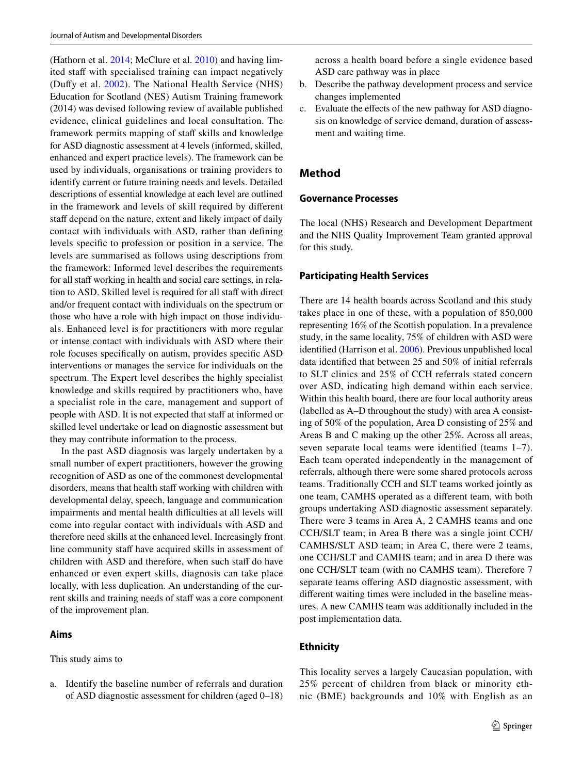(Hathorn et al. [2014;](#page-15-20) McClure et al. [2010](#page-15-10)) and having limited staff with specialised training can impact negatively (Duffy et al. [2002](#page-15-21)). The National Health Service (NHS) Education for Scotland (NES) Autism Training framework (2014) was devised following review of available published evidence, clinical guidelines and local consultation. The framework permits mapping of staff skills and knowledge for ASD diagnostic assessment at 4 levels (informed, skilled, enhanced and expert practice levels). The framework can be used by individuals, organisations or training providers to identify current or future training needs and levels. Detailed descriptions of essential knowledge at each level are outlined in the framework and levels of skill required by different staff depend on the nature, extent and likely impact of daily contact with individuals with ASD, rather than defining levels specific to profession or position in a service. The levels are summarised as follows using descriptions from the framework: Informed level describes the requirements for all staff working in health and social care settings, in relation to ASD. Skilled level is required for all staff with direct and/or frequent contact with individuals on the spectrum or those who have a role with high impact on those individuals. Enhanced level is for practitioners with more regular or intense contact with individuals with ASD where their role focuses specifically on autism, provides specific ASD interventions or manages the service for individuals on the spectrum. The Expert level describes the highly specialist knowledge and skills required by practitioners who, have a specialist role in the care, management and support of people with ASD. It is not expected that staff at informed or skilled level undertake or lead on diagnostic assessment but they may contribute information to the process.

In the past ASD diagnosis was largely undertaken by a small number of expert practitioners, however the growing recognition of ASD as one of the commonest developmental disorders, means that health staff working with children with developmental delay, speech, language and communication impairments and mental health difficulties at all levels will come into regular contact with individuals with ASD and therefore need skills at the enhanced level. Increasingly front line community staff have acquired skills in assessment of children with ASD and therefore, when such staff do have enhanced or even expert skills, diagnosis can take place locally, with less duplication. An understanding of the current skills and training needs of staff was a core component of the improvement plan.

#### **Aims**

This study aims to

a. Identify the baseline number of referrals and duration of ASD diagnostic assessment for children (aged 0–18)

across a health board before a single evidence based ASD care pathway was in place

- b. Describe the pathway development process and service changes implemented
- c. Evaluate the effects of the new pathway for ASD diagnosis on knowledge of service demand, duration of assessment and waiting time.

## **Method**

#### **Governance Processes**

The local (NHS) Research and Development Department and the NHS Quality Improvement Team granted approval for this study.

#### **Participating Health Services**

There are 14 health boards across Scotland and this study takes place in one of these, with a population of 850,000 representing 16% of the Scottish population. In a prevalence study, in the same locality, 75% of children with ASD were identified (Harrison et al. [2006\)](#page-15-22). Previous unpublished local data identified that between 25 and 50% of initial referrals to SLT clinics and 25% of CCH referrals stated concern over ASD, indicating high demand within each service. Within this health board, there are four local authority areas (labelled as A–D throughout the study) with area A consisting of 50% of the population, Area D consisting of 25% and Areas B and C making up the other 25%. Across all areas, seven separate local teams were identified (teams 1–7). Each team operated independently in the management of referrals, although there were some shared protocols across teams. Traditionally CCH and SLT teams worked jointly as one team, CAMHS operated as a different team, with both groups undertaking ASD diagnostic assessment separately. There were 3 teams in Area A, 2 CAMHS teams and one CCH/SLT team; in Area B there was a single joint CCH/ CAMHS/SLT ASD team; in Area C, there were 2 teams, one CCH/SLT and CAMHS team; and in area D there was one CCH/SLT team (with no CAMHS team). Therefore 7 separate teams offering ASD diagnostic assessment, with different waiting times were included in the baseline measures. A new CAMHS team was additionally included in the post implementation data.

#### **Ethnicity**

This locality serves a largely Caucasian population, with 25% percent of children from black or minority ethnic (BME) backgrounds and 10% with English as an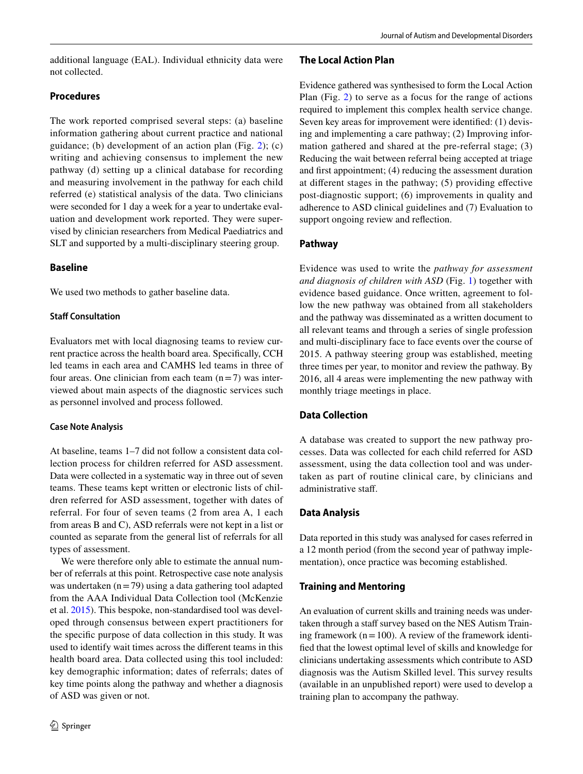additional language (EAL). Individual ethnicity data were not collected.

## **Procedures**

The work reported comprised several steps: (a) baseline information gathering about current practice and national guidance; (b) development of an action plan (Fig. [2](#page-6-0)); (c) writing and achieving consensus to implement the new pathway (d) setting up a clinical database for recording and measuring involvement in the pathway for each child referred (e) statistical analysis of the data. Two clinicians were seconded for 1 day a week for a year to undertake evaluation and development work reported. They were supervised by clinician researchers from Medical Paediatrics and SLT and supported by a multi-disciplinary steering group.

## **Baseline**

We used two methods to gather baseline data.

### **Staff Consultation**

Evaluators met with local diagnosing teams to review current practice across the health board area. Specifically, CCH led teams in each area and CAMHS led teams in three of four areas. One clinician from each team  $(n=7)$  was interviewed about main aspects of the diagnostic services such as personnel involved and process followed.

### **Case Note Analysis**

At baseline, teams 1–7 did not follow a consistent data collection process for children referred for ASD assessment. Data were collected in a systematic way in three out of seven teams. These teams kept written or electronic lists of children referred for ASD assessment, together with dates of referral. For four of seven teams (2 from area A, 1 each from areas B and C), ASD referrals were not kept in a list or counted as separate from the general list of referrals for all types of assessment.

We were therefore only able to estimate the annual number of referrals at this point. Retrospective case note analysis was undertaken  $(n=79)$  using a data gathering tool adapted from the AAA Individual Data Collection tool (McKenzie et al. [2015\)](#page-15-12). This bespoke, non-standardised tool was developed through consensus between expert practitioners for the specific purpose of data collection in this study. It was used to identify wait times across the different teams in this health board area. Data collected using this tool included: key demographic information; dates of referrals; dates of key time points along the pathway and whether a diagnosis of ASD was given or not.

## **The Local Action Plan**

Evidence gathered was synthesised to form the Local Action Plan (Fig. [2](#page-6-0)) to serve as a focus for the range of actions required to implement this complex health service change. Seven key areas for improvement were identified: (1) devising and implementing a care pathway; (2) Improving information gathered and shared at the pre-referral stage; (3) Reducing the wait between referral being accepted at triage and first appointment; (4) reducing the assessment duration at different stages in the pathway; (5) providing effective post-diagnostic support; (6) improvements in quality and adherence to ASD clinical guidelines and (7) Evaluation to support ongoing review and reflection.

## **Pathway**

Evidence was used to write the *pathway for assessment and diagnosis of children with ASD* (Fig. [1](#page-2-0)) together with evidence based guidance. Once written, agreement to follow the new pathway was obtained from all stakeholders and the pathway was disseminated as a written document to all relevant teams and through a series of single profession and multi-disciplinary face to face events over the course of 2015. A pathway steering group was established, meeting three times per year, to monitor and review the pathway. By 2016, all 4 areas were implementing the new pathway with monthly triage meetings in place.

## **Data Collection**

A database was created to support the new pathway processes. Data was collected for each child referred for ASD assessment, using the data collection tool and was undertaken as part of routine clinical care, by clinicians and administrative staff.

## **Data Analysis**

Data reported in this study was analysed for cases referred in a 12 month period (from the second year of pathway implementation), once practice was becoming established.

## **Training and Mentoring**

An evaluation of current skills and training needs was undertaken through a staff survey based on the NES Autism Training framework ( $n=100$ ). A review of the framework identified that the lowest optimal level of skills and knowledge for clinicians undertaking assessments which contribute to ASD diagnosis was the Autism Skilled level. This survey results (available in an unpublished report) were used to develop a training plan to accompany the pathway.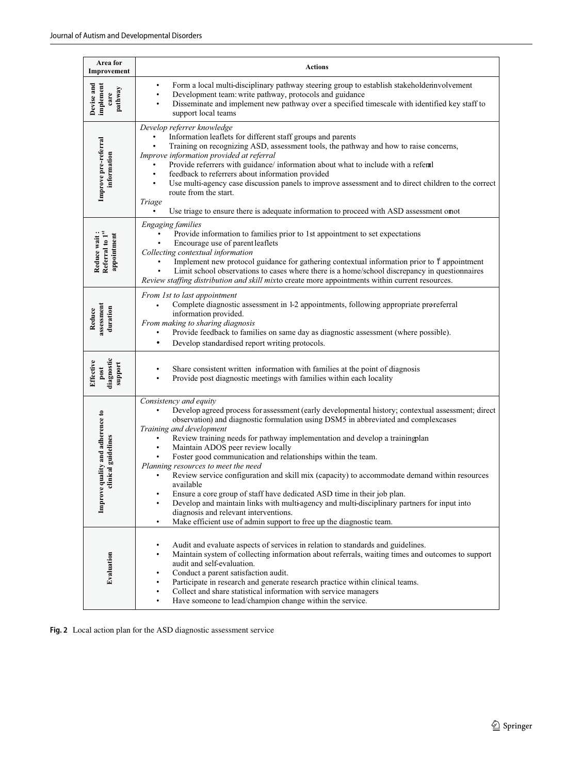| Area for<br>Improvement                                 | <b>Actions</b>                                                                                                                                                                                                                                                                                                                                                                                                                                                                                                                                                                                                                                                                                                                                                                                                                                                                       |
|---------------------------------------------------------|--------------------------------------------------------------------------------------------------------------------------------------------------------------------------------------------------------------------------------------------------------------------------------------------------------------------------------------------------------------------------------------------------------------------------------------------------------------------------------------------------------------------------------------------------------------------------------------------------------------------------------------------------------------------------------------------------------------------------------------------------------------------------------------------------------------------------------------------------------------------------------------|
| Devise and<br>implement<br>pathway<br>care              | Form a local multi-disciplinary pathway steering group to establish stakeholderinvolvement<br>٠<br>Development team: write pathway, protocols and guidance<br>$\bullet$<br>Disseminate and implement new pathway over a specified timescale with identified key staff to<br>support local teams                                                                                                                                                                                                                                                                                                                                                                                                                                                                                                                                                                                      |
| Improve pre-referral<br>information                     | Develop referrer knowledge<br>Information leaflets for different staff groups and parents<br>Training on recognizing ASD, assessment tools, the pathway and how to raise concerns,<br>Improve information provided at referral<br>Provide referrers with guidance/ information about what to include with a referal<br>feedback to referrers about information provided<br>$\bullet$<br>Use multi-agency case discussion panels to improve assessment and to direct children to the correct<br>$\bullet$<br>route from the start.<br>Triage<br>Use triage to ensure there is adequate information to proceed with ASD assessment onot                                                                                                                                                                                                                                                |
| Referral to 1st<br>appointment<br>Reduce wait           | <b>Engaging families</b><br>Provide information to families prior to 1st appointment to set expectations<br>Encourage use of parent leaflets<br>Collecting contextual information<br>Implement new protocol guidance for gathering contextual information prior to it appointment<br>Limit school observations to cases where there is a home/school discrepancy in questionnaires<br>Review staffing distribution and skill mixto create more appointments within current resources.                                                                                                                                                                                                                                                                                                                                                                                                |
| assessment<br>duration<br>Reduce                        | From 1st to last appointment<br>Complete diagnostic assessment in 1-2 appointments, following appropriate pre-<br>information provided.<br>From making to sharing diagnosis<br>Provide feedback to families on same day as diagnostic assessment (where possible).<br>Develop standardised report writing protocols.                                                                                                                                                                                                                                                                                                                                                                                                                                                                                                                                                                 |
| diagnostic<br>Effective<br>support<br>$_{\rm post}$     | Share consistent written information with families at the point of diagnosis<br>Provide post diagnostic meetings with families within each locality                                                                                                                                                                                                                                                                                                                                                                                                                                                                                                                                                                                                                                                                                                                                  |
| Improve quality and adherence to<br>clinical guidelines | Consistency and equity<br>Develop agreed process for assessment (early developmental history; contextual assessment; direct<br>observation) and diagnostic formulation using DSM5 in abbreviated and complexcases<br>Training and development<br>Review training needs for pathway implementation and develop a training lan<br>Maintain ADOS peer review locally<br>Foster good communication and relationships within the team.<br>Planning resources to meet the need<br>Review service configuration and skill mix (capacity) to accommodate demand within resources<br>available<br>Ensure a core group of staff have dedicated ASD time in their job plan.<br>Develop and maintain links with multi-agency and multi-disciplinary partners for input into<br>diagnosis and relevant interventions.<br>Make efficient use of admin support to free up the diagnostic team.<br>٠ |
| Evaluation                                              | Audit and evaluate aspects of services in relation to standards and guidelines.<br>٠<br>Maintain system of collecting information about referrals, waiting times and outcomes to support<br>audit and self-evaluation.<br>Conduct a parent satisfaction audit.<br>Participate in research and generate research practice within clinical teams.<br>Collect and share statistical information with service managers<br>$\bullet$<br>Have someone to lead/champion change within the service.<br>٠                                                                                                                                                                                                                                                                                                                                                                                     |

<span id="page-6-0"></span>**Fig. 2** Local action plan for the ASD diagnostic assessment service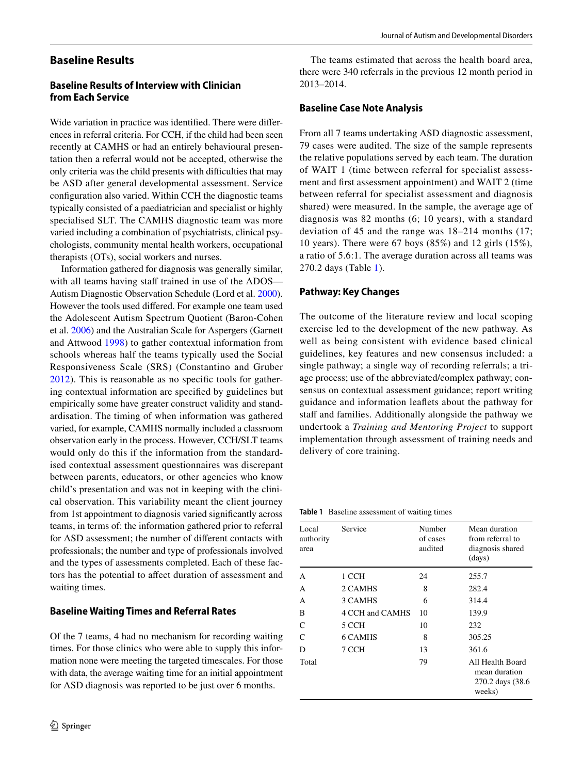## **Baseline Results**

## **Baseline Results of Interview with Clinician from Each Service**

Wide variation in practice was identified. There were differences in referral criteria. For CCH, if the child had been seen recently at CAMHS or had an entirely behavioural presentation then a referral would not be accepted, otherwise the only criteria was the child presents with difficulties that may be ASD after general developmental assessment. Service configuration also varied. Within CCH the diagnostic teams typically consisted of a paediatrician and specialist or highly specialised SLT. The CAMHS diagnostic team was more varied including a combination of psychiatrists, clinical psychologists, community mental health workers, occupational therapists (OTs), social workers and nurses.

Information gathered for diagnosis was generally similar, with all teams having staff trained in use of the ADOS— Autism Diagnostic Observation Schedule (Lord et al. [2000](#page-15-23)). However the tools used differed. For example one team used the Adolescent Autism Spectrum Quotient (Baron-Cohen et al. [2006\)](#page-15-24) and the Australian Scale for Aspergers (Garnett and Attwood [1998](#page-15-25)) to gather contextual information from schools whereas half the teams typically used the Social Responsiveness Scale (SRS) (Constantino and Gruber [2012\)](#page-15-26). This is reasonable as no specific tools for gathering contextual information are specified by guidelines but empirically some have greater construct validity and standardisation. The timing of when information was gathered varied, for example, CAMHS normally included a classroom observation early in the process. However, CCH/SLT teams would only do this if the information from the standardised contextual assessment questionnaires was discrepant between parents, educators, or other agencies who know child's presentation and was not in keeping with the clinical observation. This variability meant the client journey from 1st appointment to diagnosis varied significantly across teams, in terms of: the information gathered prior to referral for ASD assessment; the number of different contacts with professionals; the number and type of professionals involved and the types of assessments completed. Each of these factors has the potential to affect duration of assessment and waiting times.

#### **Baseline Waiting Times and Referral Rates**

Of the 7 teams, 4 had no mechanism for recording waiting times. For those clinics who were able to supply this information none were meeting the targeted timescales. For those with data, the average waiting time for an initial appointment for ASD diagnosis was reported to be just over 6 months.

The teams estimated that across the health board area, there were 340 referrals in the previous 12 month period in 2013–2014.

#### **Baseline Case Note Analysis**

From all 7 teams undertaking ASD diagnostic assessment, 79 cases were audited. The size of the sample represents the relative populations served by each team. The duration of WAIT 1 (time between referral for specialist assessment and first assessment appointment) and WAIT 2 (time between referral for specialist assessment and diagnosis shared) were measured. In the sample, the average age of diagnosis was 82 months (6; 10 years), with a standard deviation of 45 and the range was 18–214 months (17; 10 years). There were 67 boys (85%) and 12 girls (15%), a ratio of 5.6:1. The average duration across all teams was 270.2 days (Table [1](#page-7-0)).

#### **Pathway: Key Changes**

The outcome of the literature review and local scoping exercise led to the development of the new pathway. As well as being consistent with evidence based clinical guidelines, key features and new consensus included: a single pathway; a single way of recording referrals; a triage process; use of the abbreviated/complex pathway; consensus on contextual assessment guidance; report writing guidance and information leaflets about the pathway for staff and families. Additionally alongside the pathway we undertook a *Training and Mentoring Project* to support implementation through assessment of training needs and delivery of core training.

<span id="page-7-0"></span>**Table 1** Baseline assessment of waiting times

| Local<br>authority<br>area | Service         | Number<br>of cases<br>audited | Mean duration<br>from referral to<br>diagnosis shared<br>(days)  |
|----------------------------|-----------------|-------------------------------|------------------------------------------------------------------|
| A                          | 1 CCH           | 24                            | 255.7                                                            |
| А                          | 2 CAMHS         | 8                             | 282.4                                                            |
| A                          | 3 CAMHS         | 6                             | 314.4                                                            |
| B                          | 4 CCH and CAMHS | 10                            | 139.9                                                            |
| $\mathcal{C}$              | 5 CCH           | 10                            | 232                                                              |
| $\mathcal{C}$              | 6 CAMHS         | 8                             | 305.25                                                           |
| D                          | 7 CCH           | 13                            | 361.6                                                            |
| Total                      |                 | 79                            | All Health Board<br>mean duration<br>270.2 days (38.6)<br>weeks) |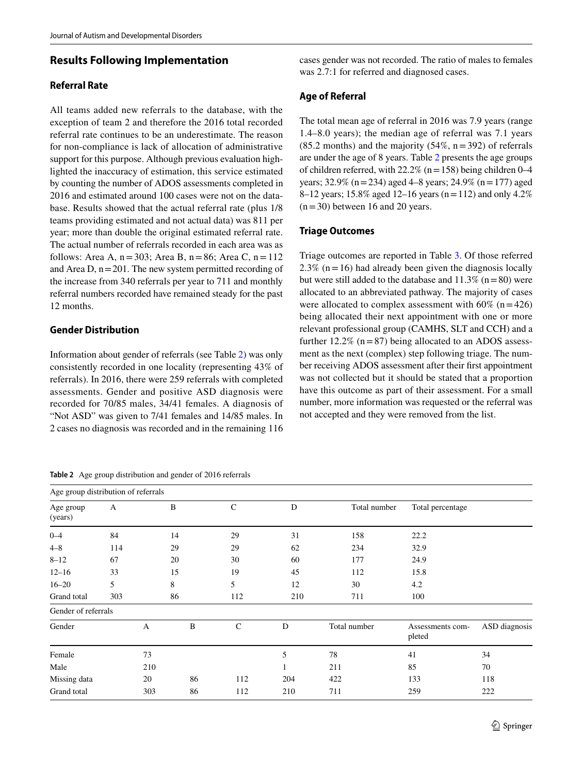## **Results Following Implementation**

#### **Referral Rate**

All teams added new referrals to the database, with the exception of team 2 and therefore the 2016 total recorded referral rate continues to be an underestimate. The reason for non-compliance is lack of allocation of administrative support for this purpose. Although previous evaluation highlighted the inaccuracy of estimation, this service estimated by counting the number of ADOS assessments completed in 2016 and estimated around 100 cases were not on the database. Results showed that the actual referral rate (plus 1/8 teams providing estimated and not actual data) was 811 per year; more than double the original estimated referral rate. The actual number of referrals recorded in each area was as follows: Area A,  $n=303$ ; Area B,  $n=86$ ; Area C,  $n=112$ and Area D,  $n=201$ . The new system permitted recording of the increase from 340 referrals per year to 711 and monthly referral numbers recorded have remained steady for the past 12 months.

### **Gender Distribution**

Information about gender of referrals (see Table [2\)](#page-8-0) was only consistently recorded in one locality (representing 43% of referrals). In 2016, there were 259 referrals with completed assessments. Gender and positive ASD diagnosis were recorded for 70/85 males, 34/41 females. A diagnosis of "Not ASD" was given to 7/41 females and 14/85 males. In 2 cases no diagnosis was recorded and in the remaining 116

<span id="page-8-0"></span>**Table 2** Age group distribution and gender of 2016 referrals

cases gender was not recorded. The ratio of males to females was 2.7:1 for referred and diagnosed cases.

#### **Age of Referral**

The total mean age of referral in 2016 was 7.9 years (range 1.4–8.0 years); the median age of referral was 7.1 years (85.2 months) and the majority (54%,  $n=392$ ) of referrals are under the age of 8 years. Table [2](#page-8-0) presents the age groups of children referred, with  $22.2\%$  (n=158) being children 0–4 years; 32.9% (n=234) aged 4–8 years; 24.9% (n=177) aged 8–12 years; 15.8% aged 12–16 years (n=112) and only 4.2%  $(n=30)$  between 16 and 20 years.

#### **Triage Outcomes**

Triage outcomes are reported in Table [3](#page-9-0). Of those referred 2.3% ( $n=16$ ) had already been given the diagnosis locally but were still added to the database and  $11.3\%$  (n = 80) were allocated to an abbreviated pathway. The majority of cases were allocated to complex assessment with  $60\%$  (n=426) being allocated their next appointment with one or more relevant professional group (CAMHS, SLT and CCH) and a further  $12.2\%$  (n=87) being allocated to an ADOS assessment as the next (complex) step following triage. The number receiving ADOS assessment after their first appointment was not collected but it should be stated that a proportion have this outcome as part of their assessment. For a small number, more information was requested or the referral was not accepted and they were removed from the list.

| Age group distribution of referrals |     |              |    |             |         |              |                            |               |
|-------------------------------------|-----|--------------|----|-------------|---------|--------------|----------------------------|---------------|
| Age group<br>(years)                | A   |              | B  | $\mathbf C$ | D       | Total number | Total percentage           |               |
| $0 - 4$                             | 84  |              | 14 | 29          | 31      | 158          | 22.2                       |               |
| $4 - 8$                             | 114 |              | 29 | 29          | 62      | 234          | 32.9                       |               |
| $8 - 12$                            | 67  |              | 20 | 30          | 60      | 177          | 24.9                       |               |
| $12 - 16$                           | 33  |              | 15 | 19          | 45      | 112          | 15.8                       |               |
| $16 - 20$                           | 5   |              | 8  | 5           | 12      | 30           | 4.2                        |               |
| Grand total                         | 303 | 86           |    | 112         | 210     | 711          | 100                        |               |
| Gender of referrals                 |     |              |    |             |         |              |                            |               |
| Gender                              |     | $\mathbf{A}$ | B  | $\mathbf C$ | D       | Total number | Assessments com-<br>pleted | ASD diagnosis |
| Female                              |     | 73           |    |             | 5       | 78           | 41                         | 34            |
| Male                                |     | 210          |    |             | $\perp$ | 211          | 85                         | 70            |
| Missing data                        |     | 20           | 86 | 112         | 204     | 422          | 133                        | 118           |
| Grand total                         |     | 303          | 86 | 112         | 210     | 711          | 259                        | 222           |
|                                     |     |              |    |             |         |              |                            |               |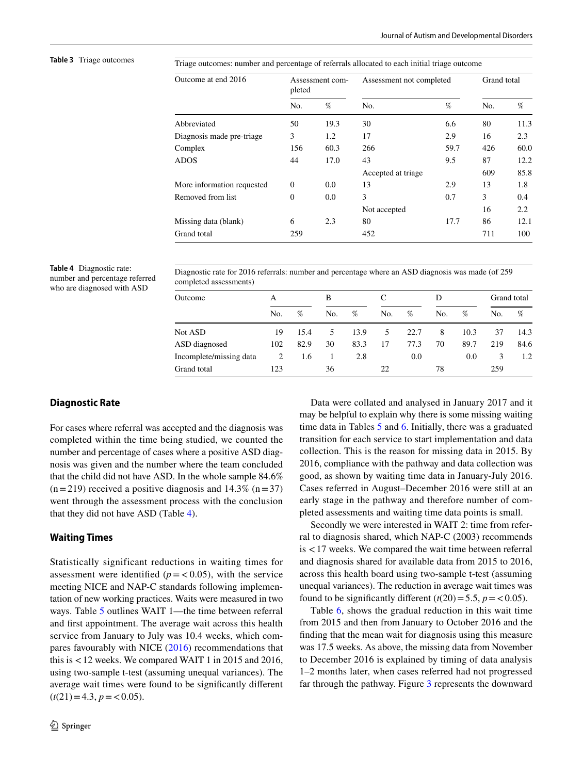<span id="page-9-0"></span>**Table 3** Triage outcomes Triage outcomes: number and percentage of referrals allocated to each initial triage outcome

| Outcome at end 2016        | pleted   | Assessment com- | Assessment not completed | Grand total |     |      |
|----------------------------|----------|-----------------|--------------------------|-------------|-----|------|
|                            | No.      | $\%$            | No.                      | %           | No. | %    |
| Abbreviated                | 50       | 19.3            | 30                       | 6.6         | 80  | 11.3 |
| Diagnosis made pre-triage  | 3        | 1.2             | 17                       | 2.9         | 16  | 2.3  |
| Complex                    | 156      | 60.3            | 266                      | 59.7        | 426 | 60.0 |
| <b>ADOS</b>                | 44       | 17.0            | 43                       | 9.5         | 87  | 12.2 |
|                            |          |                 | Accepted at triage       |             | 609 | 85.8 |
| More information requested | $\theta$ | 0.0             | 13                       | 2.9         | 13  | 1.8  |
| Removed from list          | $\theta$ | 0.0             | 3                        | 0.7         | 3   | 0.4  |
|                            |          |                 | Not accepted             |             | 16  | 2.2  |
| Missing data (blank)       | 6        | 2.3             | 80                       | 17.7        | 86  | 12.1 |
| Grand total                | 259      |                 | 452                      |             | 711 | 100  |

<span id="page-9-1"></span>**Table 4** Diagnostic rate: number and percentage referred who are diagnosed with ASD

Diagnostic rate for 2016 referrals: number and percentage where an ASD diagnosis was made (of 259 completed assessments)

| Outcome                 | А   |      | В   |      |     |      | D   |      | Grand total |      |
|-------------------------|-----|------|-----|------|-----|------|-----|------|-------------|------|
|                         | No. | %    | No. | %    | No. | %    | No. | %    | No.         | %    |
| Not ASD                 | 19  | 15.4 | 5.  | 13.9 | 5.  | 22.7 | 8   | 10.3 | 37          | 14.3 |
| ASD diagnosed           | 102 | 82.9 | 30  | 83.3 | 17  | 77.3 | 70  | 89.7 | 219         | 84.6 |
| Incomplete/missing data | 2   | 1.6  |     | 2.8  |     | 0.0  |     | 0.0  | 3           | 1.2  |
| Grand total             | 123 |      | 36  |      | 22  |      | 78  |      | 259         |      |

#### **Diagnostic Rate**

For cases where referral was accepted and the diagnosis was completed within the time being studied, we counted the number and percentage of cases where a positive ASD diagnosis was given and the number where the team concluded that the child did not have ASD. In the whole sample 84.6%  $(n=219)$  received a positive diagnosis and 14.3%  $(n=37)$ went through the assessment process with the conclusion that they did not have ASD (Table [4](#page-9-1)).

#### **Waiting Times**

Statistically significant reductions in waiting times for assessment were identified  $(p = 0.05)$ , with the service meeting NICE and NAP-C standards following implementation of new working practices. Waits were measured in two ways. Table [5](#page-10-0) outlines WAIT 1—the time between referral and first appointment. The average wait across this health service from January to July was 10.4 weeks, which compares favourably with NICE [\(2016](#page-15-11)) recommendations that this is <12 weeks. We compared WAIT 1 in 2015 and 2016, using two-sample t-test (assuming unequal variances). The average wait times were found to be significantly different  $(t(21)=4.3, p = 0.05).$ 

Data were collated and analysed in January 2017 and it may be helpful to explain why there is some missing waiting time data in Tables [5](#page-10-0) and [6](#page-11-0). Initially, there was a graduated transition for each service to start implementation and data collection. This is the reason for missing data in 2015. By 2016, compliance with the pathway and data collection was good, as shown by waiting time data in January-July 2016. Cases referred in August–December 2016 were still at an early stage in the pathway and therefore number of completed assessments and waiting time data points is small.

Secondly we were interested in WAIT 2: time from referral to diagnosis shared, which NAP-C (2003) recommends is <17 weeks. We compared the wait time between referral and diagnosis shared for available data from 2015 to 2016, across this health board using two-sample t-test (assuming unequal variances). The reduction in average wait times was found to be significantly different  $(t(20) = 5.5, p = 0.05)$ .

Table [6,](#page-11-0) shows the gradual reduction in this wait time from 2015 and then from January to October 2016 and the finding that the mean wait for diagnosis using this measure was 17.5 weeks. As above, the missing data from November to December 2016 is explained by timing of data analysis 1–2 months later, when cases referred had not progressed far through the pathway. Figure [3](#page-11-1) represents the downward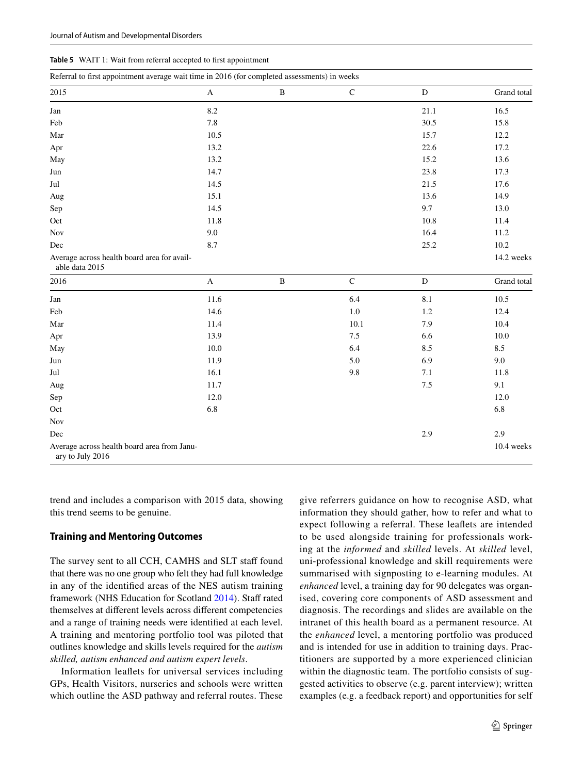<span id="page-10-0"></span>

| <b>Table 5</b> WAIT 1: Wait from referral accepted to first appointment |  |
|-------------------------------------------------------------------------|--|
|-------------------------------------------------------------------------|--|

| Referral to first appointment average wait time in 2016 (for completed assessments) in weeks |              |   |              |               |             |  |  |  |
|----------------------------------------------------------------------------------------------|--------------|---|--------------|---------------|-------------|--|--|--|
| 2015                                                                                         | $\mathbf{A}$ | B | $\mathsf{C}$ | D             | Grand total |  |  |  |
| Jan                                                                                          | 8.2          |   |              | 21.1          | 16.5        |  |  |  |
| Feb                                                                                          | 7.8          |   |              | 30.5          | 15.8        |  |  |  |
| Mar                                                                                          | 10.5         |   |              | 15.7          | 12.2        |  |  |  |
| Apr                                                                                          | 13.2         |   |              | 22.6          | 17.2        |  |  |  |
| May                                                                                          | 13.2         |   |              | 15.2          | 13.6        |  |  |  |
| Jun                                                                                          | 14.7         |   |              | 23.8          | 17.3        |  |  |  |
| Jul                                                                                          | 14.5         |   |              | 21.5          | 17.6        |  |  |  |
| Aug                                                                                          | 15.1         |   |              | 13.6          | 14.9        |  |  |  |
| Sep                                                                                          | 14.5         |   |              | 9.7           | 13.0        |  |  |  |
| Oct                                                                                          | 11.8         |   |              | 10.8          | 11.4        |  |  |  |
| <b>Nov</b>                                                                                   | 9.0          |   |              | 16.4          | 11.2        |  |  |  |
| Dec                                                                                          | 8.7          |   |              | 25.2          | 10.2        |  |  |  |
| Average across health board area for avail-<br>able data 2015                                |              |   |              |               | 14.2 weeks  |  |  |  |
| 2016                                                                                         | $\mathbf{A}$ | B | $\mathsf{C}$ | ${\mathbb D}$ | Grand total |  |  |  |
| Jan                                                                                          | 11.6         |   | 6.4          | $8.1\,$       | 10.5        |  |  |  |
| Feb                                                                                          | 14.6         |   | 1.0          | 1.2           | 12.4        |  |  |  |
| Mar                                                                                          | 11.4         |   | 10.1         | 7.9           | 10.4        |  |  |  |

Apr 13.9 13.9 7.5 6.6 10.0 May 10.0 6.4 8.5 8.5 Jun  $11.9$  5.0 6.9 9.0 Jul 16.1 9.8 7.1 11.8 Aug 11.7 1.5 9.1  $Sep$  12.0 12.0  $\rm Oct$  6.8 6.8 6.8 6.8

Dec 2.9 2.9

trend and includes a comparison with 2015 data, showing this trend seems to be genuine.

#### **Training and Mentoring Outcomes**

Average across health board area from Janu-

Nov

ary to July 2016

The survey sent to all CCH, CAMHS and SLT staff found that there was no one group who felt they had full knowledge in any of the identified areas of the NES autism training framework (NHS Education for Scotland [2014\)](#page-15-27). Staff rated themselves at different levels across different competencies and a range of training needs were identified at each level. A training and mentoring portfolio tool was piloted that outlines knowledge and skills levels required for the *autism skilled, autism enhanced and autism expert levels*.

Information leaflets for universal services including GPs, Health Visitors, nurseries and schools were written which outline the ASD pathway and referral routes. These give referrers guidance on how to recognise ASD, what information they should gather, how to refer and what to expect following a referral. These leaflets are intended to be used alongside training for professionals working at the *informed* and *skilled* levels. At *skilled* level, uni-professional knowledge and skill requirements were summarised with signposting to e-learning modules. At *enhanced* level, a training day for 90 delegates was organised, covering core components of ASD assessment and diagnosis. The recordings and slides are available on the intranet of this health board as a permanent resource. At the *enhanced* level, a mentoring portfolio was produced and is intended for use in addition to training days. Practitioners are supported by a more experienced clinician within the diagnostic team. The portfolio consists of suggested activities to observe (e.g. parent interview); written examples (e.g. a feedback report) and opportunities for self

10.4 weeks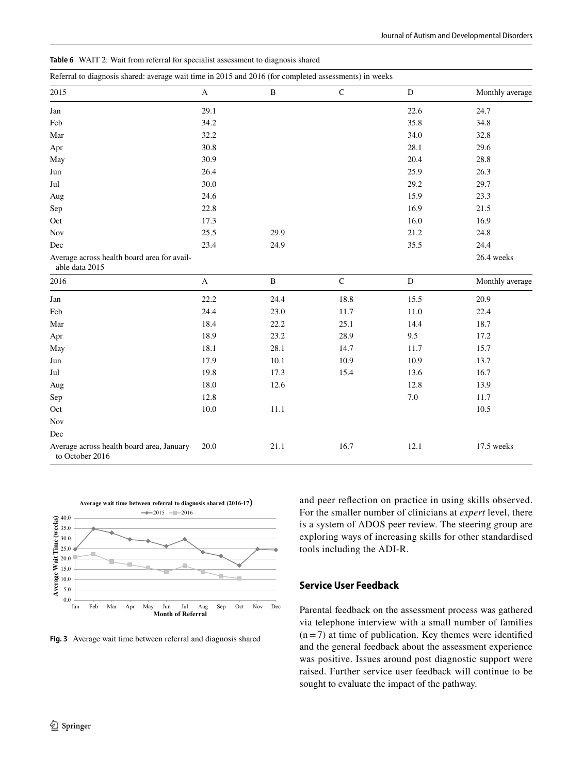<span id="page-11-0"></span>

|  |  |  |  |  |  | <b>Table 6</b> WAIT 2: Wait from referral for specialist assessment to diagnosis shared |  |  |  |  |
|--|--|--|--|--|--|-----------------------------------------------------------------------------------------|--|--|--|--|
|--|--|--|--|--|--|-----------------------------------------------------------------------------------------|--|--|--|--|

| Referral to diagnosis shared: average wait time in 2015 and 2016 (for completed assessments) in weeks |              |              |             |             |                 |  |  |  |  |
|-------------------------------------------------------------------------------------------------------|--------------|--------------|-------------|-------------|-----------------|--|--|--|--|
| 2015                                                                                                  | $\bf{A}$     | $\, {\bf B}$ | ${\bf C}$   | ${\bf D}$   | Monthly average |  |  |  |  |
| ${\rm Jan}$                                                                                           | 29.1         |              |             | 22.6        | 24.7            |  |  |  |  |
| Feb                                                                                                   | 34.2         |              |             | 35.8        | 34.8            |  |  |  |  |
| Mar                                                                                                   | 32.2         |              |             | 34.0        | 32.8            |  |  |  |  |
| Apr                                                                                                   | 30.8         |              |             | 28.1        | 29.6            |  |  |  |  |
| May                                                                                                   | 30.9         |              |             | 20.4        | 28.8            |  |  |  |  |
| Jun                                                                                                   | 26.4         |              |             | 25.9        | 26.3            |  |  |  |  |
| Jul                                                                                                   | 30.0         |              |             | 29.2        | 29.7            |  |  |  |  |
| Aug                                                                                                   | 24.6         |              |             | 15.9        | 23.3            |  |  |  |  |
| Sep                                                                                                   | 22.8         |              |             | 16.9        | 21.5            |  |  |  |  |
| Oct                                                                                                   | 17.3         |              |             | 16.0        | 16.9            |  |  |  |  |
| <b>Nov</b>                                                                                            | 25.5         | 29.9         |             | 21.2        | 24.8            |  |  |  |  |
| Dec                                                                                                   | 23.4         | 24.9         |             | 35.5        | 24.4            |  |  |  |  |
| Average across health board area for avail-<br>able data 2015                                         |              |              |             |             | 26.4 weeks      |  |  |  |  |
| 2016                                                                                                  | $\mathbf{A}$ | $\, {\bf B}$ | $\mathbf C$ | $\mathbf D$ | Monthly average |  |  |  |  |
| Jan                                                                                                   | 22.2         | 24.4         | 18.8        | 15.5        | 20.9            |  |  |  |  |
| Feb                                                                                                   | 24.4         | 23.0         | 11.7        | 11.0        | 22.4            |  |  |  |  |
| Mar                                                                                                   | 18.4         | 22.2         | 25.1        | 14.4        | 18.7            |  |  |  |  |
| Apr                                                                                                   | 18.9         | 23.2         | 28.9        | 9.5         | 17.2            |  |  |  |  |
| May                                                                                                   | 18.1         | 28.1         | 14.7        | 11.7        | 15.7            |  |  |  |  |
| Jun                                                                                                   | 17.9         | 10.1         | 10.9        | 10.9        | 13.7            |  |  |  |  |
| Jul                                                                                                   | 19.8         | 17.3         | 15.4        | 13.6        | 16.7            |  |  |  |  |
| Aug                                                                                                   | 18.0         | 12.6         |             | 12.8        | 13.9            |  |  |  |  |
| Sep                                                                                                   | 12.8         |              |             | 7.0         | 11.7            |  |  |  |  |
| Oct                                                                                                   | $10.0\,$     | 11.1         |             |             | 10.5            |  |  |  |  |
| Nov                                                                                                   |              |              |             |             |                 |  |  |  |  |
| $\rm Dec$                                                                                             |              |              |             |             |                 |  |  |  |  |
| Average across health board area, January<br>to October 2016                                          | 20.0         | 21.1         | 16.7        | 12.1        | 17.5 weeks      |  |  |  |  |



<span id="page-11-1"></span>

and peer reflection on practice in using skills observed. For the smaller number of clinicians at *expert* level, there is a system of ADOS peer review. The steering group are exploring ways of increasing skills for other standardised tools including the ADI-R.

#### **Service User Feedback**

Parental feedback on the assessment process was gathered via telephone interview with a small number of families  $(n=7)$  at time of publication. Key themes were identified and the general feedback about the assessment experience was positive. Issues around post diagnostic support were raised. Further service user feedback will continue to be sought to evaluate the impact of the pathway.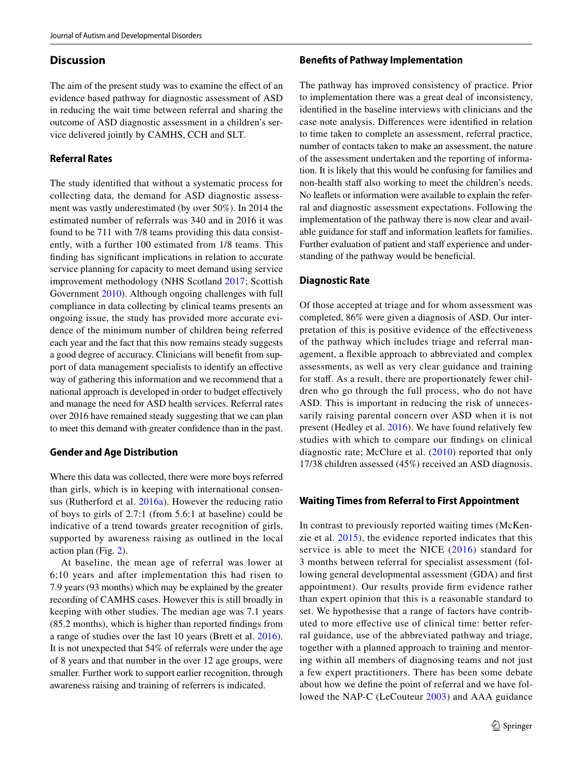#### **Discussion**

The aim of the present study was to examine the effect of an evidence based pathway for diagnostic assessment of ASD in reducing the wait time between referral and sharing the outcome of ASD diagnostic assessment in a children's service delivered jointly by CAMHS, CCH and SLT.

#### **Referral Rates**

The study identified that without a systematic process for collecting data, the demand for ASD diagnostic assessment was vastly underestimated (by over 50%). In 2014 the estimated number of referrals was 340 and in 2016 it was found to be 711 with 7/8 teams providing this data consistently, with a further 100 estimated from 1/8 teams. This finding has significant implications in relation to accurate service planning for capacity to meet demand using service improvement methodology (NHS Scotland [2017](#page-15-28); Scottish Government [2010](#page-16-7)). Although ongoing challenges with full compliance in data collecting by clinical teams presents an ongoing issue, the study has provided more accurate evidence of the minimum number of children being referred each year and the fact that this now remains steady suggests a good degree of accuracy. Clinicians will benefit from support of data management specialists to identify an effective way of gathering this information and we recommend that a national approach is developed in order to budget effectively and manage the need for ASD health services. Referral rates over 2016 have remained steady suggesting that we can plan to meet this demand with greater confidence than in the past.

#### **Gender and Age Distribution**

Where this data was collected, there were more boys referred than girls, which is in keeping with international consensus (Rutherford et al. [2016a\)](#page-16-1). However the reducing ratio of boys to girls of 2.7:1 (from 5.6:1 at baseline) could be indicative of a trend towards greater recognition of girls, supported by awareness raising as outlined in the local action plan (Fig. [2\)](#page-6-0).

At baseline, the mean age of referral was lower at 6;10 years and after implementation this had risen to 7.9 years (93 months) which may be explained by the greater recording of CAMHS cases. However this is still broadly in keeping with other studies. The median age was 7.1 years (85.2 months), which is higher than reported findings from a range of studies over the last 10 years (Brett et al. [2016](#page-15-4)). It is not unexpected that 54% of referrals were under the age of 8 years and that number in the over 12 age groups, were smaller. Further work to support earlier recognition, through awareness raising and training of referrers is indicated.

#### **Benefits of Pathway Implementation**

The pathway has improved consistency of practice. Prior to implementation there was a great deal of inconsistency, identified in the baseline interviews with clinicians and the case note analysis. Differences were identified in relation to time taken to complete an assessment, referral practice, number of contacts taken to make an assessment, the nature of the assessment undertaken and the reporting of information. It is likely that this would be confusing for families and non-health staff also working to meet the children's needs. No leaflets or information were available to explain the referral and diagnostic assessment expectations. Following the implementation of the pathway there is now clear and available guidance for staff and information leaflets for families. Further evaluation of patient and staff experience and understanding of the pathway would be beneficial.

#### **Diagnostic Rate**

Of those accepted at triage and for whom assessment was completed, 86% were given a diagnosis of ASD. Our interpretation of this is positive evidence of the effectiveness of the pathway which includes triage and referral management, a flexible approach to abbreviated and complex assessments, as well as very clear guidance and training for staff. As a result, there are proportionately fewer children who go through the full process, who do not have ASD. This is important in reducing the risk of unnecessarily raising parental concern over ASD when it is not present (Hedley et al. [2016\)](#page-15-29). We have found relatively few studies with which to compare our findings on clinical diagnostic rate; McClure et al. ([2010](#page-15-10)) reported that only 17/38 children assessed (45%) received an ASD diagnosis.

#### **Waiting Times from Referral to First Appointment**

In contrast to previously reported waiting times (McKenzie et al. [2015](#page-15-12)), the evidence reported indicates that this service is able to meet the NICE ([2016\)](#page-15-11) standard for 3 months between referral for specialist assessment (following general developmental assessment (GDA) and first appointment). Our results provide firm evidence rather than expert opinion that this is a reasonable standard to set. We hypothesise that a range of factors have contributed to more effective use of clinical time: better referral guidance, use of the abbreviated pathway and triage, together with a planned approach to training and mentoring within all members of diagnosing teams and not just a few expert practitioners. There has been some debate about how we define the point of referral and we have followed the NAP-C (LeCouteur [2003](#page-15-8)) and AAA guidance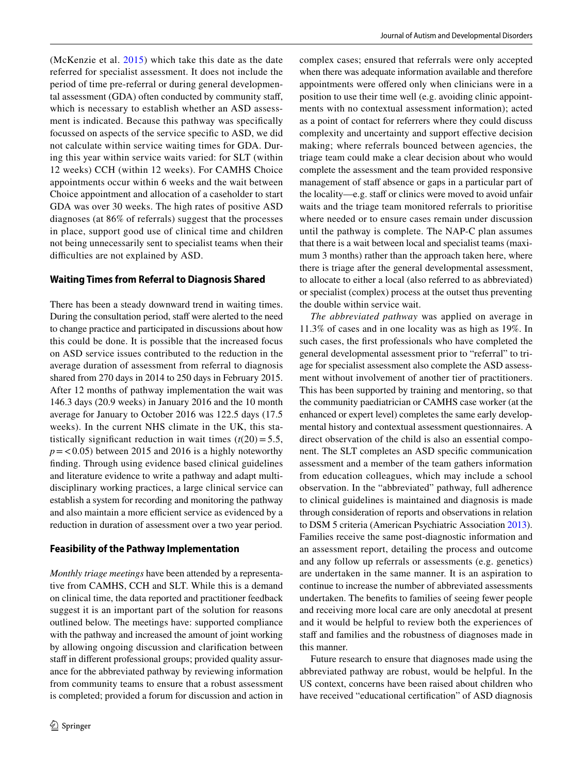(McKenzie et al. [2015](#page-15-12)) which take this date as the date referred for specialist assessment. It does not include the period of time pre-referral or during general developmental assessment (GDA) often conducted by community staff, which is necessary to establish whether an ASD assessment is indicated. Because this pathway was specifically focussed on aspects of the service specific to ASD, we did not calculate within service waiting times for GDA. During this year within service waits varied: for SLT (within 12 weeks) CCH (within 12 weeks). For CAMHS Choice appointments occur within 6 weeks and the wait between Choice appointment and allocation of a caseholder to start GDA was over 30 weeks. The high rates of positive ASD diagnoses (at 86% of referrals) suggest that the processes in place, support good use of clinical time and children not being unnecessarily sent to specialist teams when their difficulties are not explained by ASD.

### **Waiting Times from Referral to Diagnosis Shared**

There has been a steady downward trend in waiting times. During the consultation period, staff were alerted to the need to change practice and participated in discussions about how this could be done. It is possible that the increased focus on ASD service issues contributed to the reduction in the average duration of assessment from referral to diagnosis shared from 270 days in 2014 to 250 days in February 2015. After 12 months of pathway implementation the wait was 146.3 days (20.9 weeks) in January 2016 and the 10 month average for January to October 2016 was 122.5 days (17.5 weeks). In the current NHS climate in the UK, this statistically significant reduction in wait times  $(t(20) = 5.5$ ,  $p = 0.05$ ) between 2015 and 2016 is a highly noteworthy finding. Through using evidence based clinical guidelines and literature evidence to write a pathway and adapt multidisciplinary working practices, a large clinical service can establish a system for recording and monitoring the pathway and also maintain a more efficient service as evidenced by a reduction in duration of assessment over a two year period.

#### **Feasibility of the Pathway Implementation**

*Monthly triage meetings* have been attended by a representative from CAMHS, CCH and SLT. While this is a demand on clinical time, the data reported and practitioner feedback suggest it is an important part of the solution for reasons outlined below. The meetings have: supported compliance with the pathway and increased the amount of joint working by allowing ongoing discussion and clarification between staff in different professional groups; provided quality assurance for the abbreviated pathway by reviewing information from community teams to ensure that a robust assessment is completed; provided a forum for discussion and action in complex cases; ensured that referrals were only accepted when there was adequate information available and therefore appointments were offered only when clinicians were in a position to use their time well (e.g. avoiding clinic appointments with no contextual assessment information); acted as a point of contact for referrers where they could discuss complexity and uncertainty and support effective decision making; where referrals bounced between agencies, the triage team could make a clear decision about who would complete the assessment and the team provided responsive management of staff absence or gaps in a particular part of the locality—e.g. staff or clinics were moved to avoid unfair waits and the triage team monitored referrals to prioritise where needed or to ensure cases remain under discussion until the pathway is complete. The NAP-C plan assumes that there is a wait between local and specialist teams (maximum 3 months) rather than the approach taken here, where there is triage after the general developmental assessment, to allocate to either a local (also referred to as abbreviated) or specialist (complex) process at the outset thus preventing the double within service wait.

*The abbreviated pathway* was applied on average in 11.3% of cases and in one locality was as high as 19%. In such cases, the first professionals who have completed the general developmental assessment prior to "referral" to triage for specialist assessment also complete the ASD assessment without involvement of another tier of practitioners. This has been supported by training and mentoring, so that the community paediatrician or CAMHS case worker (at the enhanced or expert level) completes the same early developmental history and contextual assessment questionnaires. A direct observation of the child is also an essential component. The SLT completes an ASD specific communication assessment and a member of the team gathers information from education colleagues, which may include a school observation. In the "abbreviated" pathway, full adherence to clinical guidelines is maintained and diagnosis is made through consideration of reports and observations in relation to DSM 5 criteria (American Psychiatric Association [2013](#page-15-17)). Families receive the same post-diagnostic information and an assessment report, detailing the process and outcome and any follow up referrals or assessments (e.g. genetics) are undertaken in the same manner. It is an aspiration to continue to increase the number of abbreviated assessments undertaken. The benefits to families of seeing fewer people and receiving more local care are only anecdotal at present and it would be helpful to review both the experiences of staff and families and the robustness of diagnoses made in this manner.

Future research to ensure that diagnoses made using the abbreviated pathway are robust, would be helpful. In the US context, concerns have been raised about children who have received "educational certification" of ASD diagnosis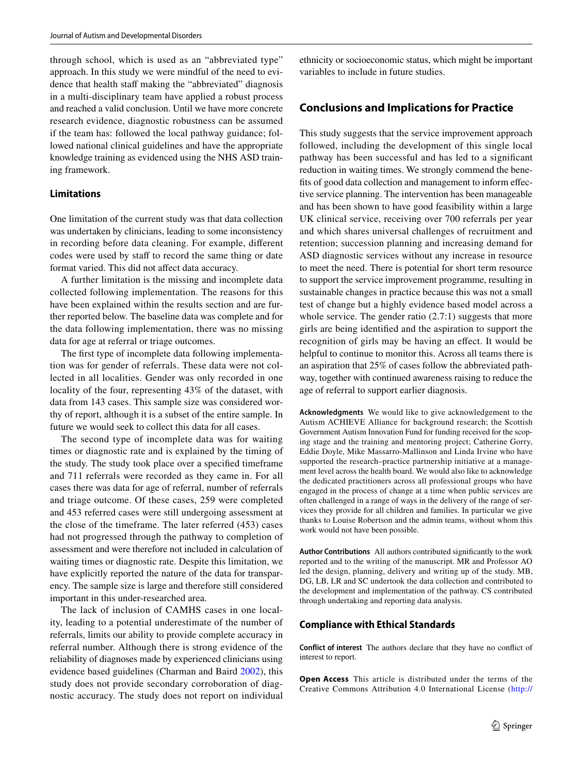through school, which is used as an "abbreviated type" approach. In this study we were mindful of the need to evidence that health staff making the "abbreviated" diagnosis in a multi-disciplinary team have applied a robust process and reached a valid conclusion. Until we have more concrete research evidence, diagnostic robustness can be assumed if the team has: followed the local pathway guidance; followed national clinical guidelines and have the appropriate knowledge training as evidenced using the NHS ASD training framework.

#### **Limitations**

One limitation of the current study was that data collection was undertaken by clinicians, leading to some inconsistency in recording before data cleaning. For example, different codes were used by staff to record the same thing or date format varied. This did not affect data accuracy.

A further limitation is the missing and incomplete data collected following implementation. The reasons for this have been explained within the results section and are further reported below. The baseline data was complete and for the data following implementation, there was no missing data for age at referral or triage outcomes.

The first type of incomplete data following implementation was for gender of referrals. These data were not collected in all localities. Gender was only recorded in one locality of the four, representing 43% of the dataset, with data from 143 cases. This sample size was considered worthy of report, although it is a subset of the entire sample. In future we would seek to collect this data for all cases.

The second type of incomplete data was for waiting times or diagnostic rate and is explained by the timing of the study. The study took place over a specified timeframe and 711 referrals were recorded as they came in. For all cases there was data for age of referral, number of referrals and triage outcome. Of these cases, 259 were completed and 453 referred cases were still undergoing assessment at the close of the timeframe. The later referred (453) cases had not progressed through the pathway to completion of assessment and were therefore not included in calculation of waiting times or diagnostic rate. Despite this limitation, we have explicitly reported the nature of the data for transparency. The sample size is large and therefore still considered important in this under-researched area.

The lack of inclusion of CAMHS cases in one locality, leading to a potential underestimate of the number of referrals, limits our ability to provide complete accuracy in referral number. Although there is strong evidence of the reliability of diagnoses made by experienced clinicians using evidence based guidelines (Charman and Baird [2002\)](#page-15-30), this study does not provide secondary corroboration of diagnostic accuracy. The study does not report on individual ethnicity or socioeconomic status, which might be important variables to include in future studies.

#### **Conclusions and Implications for Practice**

This study suggests that the service improvement approach followed, including the development of this single local pathway has been successful and has led to a significant reduction in waiting times. We strongly commend the benefits of good data collection and management to inform effective service planning. The intervention has been manageable and has been shown to have good feasibility within a large UK clinical service, receiving over 700 referrals per year and which shares universal challenges of recruitment and retention; succession planning and increasing demand for ASD diagnostic services without any increase in resource to meet the need. There is potential for short term resource to support the service improvement programme, resulting in sustainable changes in practice because this was not a small test of change but a highly evidence based model across a whole service. The gender ratio  $(2.7:1)$  suggests that more girls are being identified and the aspiration to support the recognition of girls may be having an effect. It would be helpful to continue to monitor this. Across all teams there is an aspiration that 25% of cases follow the abbreviated pathway, together with continued awareness raising to reduce the age of referral to support earlier diagnosis.

**Acknowledgments** We would like to give acknowledgement to the Autism ACHIEVE Alliance for background research; the Scottish Government Autism Innovation Fund for funding received for the scoping stage and the training and mentoring project; Catherine Gorry, Eddie Doyle, Mike Massarro-Mallinson and Linda Irvine who have supported the research–practice partnership initiative at a management level across the health board. We would also like to acknowledge the dedicated practitioners across all professional groups who have engaged in the process of change at a time when public services are often challenged in a range of ways in the delivery of the range of services they provide for all children and families. In particular we give thanks to Louise Robertson and the admin teams, without whom this work would not have been possible.

**Author Contributions** All authors contributed significantly to the work reported and to the writing of the manuscript. MR and Professor AO led the design, planning, delivery and writing up of the study. MB, DG, LB, LR and SC undertook the data collection and contributed to the development and implementation of the pathway. CS contributed through undertaking and reporting data analysis.

#### **Compliance with Ethical Standards**

**Conflict of interest** The authors declare that they have no conflict of interest to report.

**Open Access** This article is distributed under the terms of the Creative Commons Attribution 4.0 International License [\(http://](http://creativecommons.org/licenses/by/4.0/)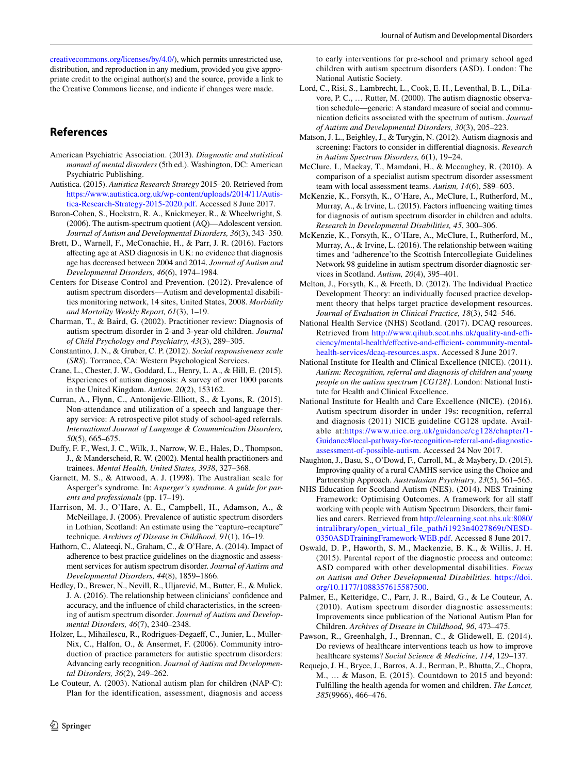[creativecommons.org/licenses/by/4.0/\)](http://creativecommons.org/licenses/by/4.0/), which permits unrestricted use, distribution, and reproduction in any medium, provided you give appropriate credit to the original author(s) and the source, provide a link to the Creative Commons license, and indicate if changes were made.

## **References**

- <span id="page-15-17"></span>American Psychiatric Association. (2013). *Diagnostic and statistical manual of mental disorders* (5th ed.). Washington, DC: American Psychiatric Publishing.
- <span id="page-15-6"></span>Autistica. (2015). *Autistica Research Strategy* 2015–20. Retrieved from [https://www.autistica.org.uk/wp-content/uploads/2014/11/Autis](https://www.autistica.org.uk/wp-content/uploads/2014/11/Autistica-Research-Strategy-2015-2020.pdf)[tica-Research-Strategy-2015-2020.pdf.](https://www.autistica.org.uk/wp-content/uploads/2014/11/Autistica-Research-Strategy-2015-2020.pdf) Accessed 8 June 2017.
- <span id="page-15-24"></span>Baron-Cohen, S., Hoekstra, R. A., Knickmeyer, R., & Wheelwright, S. (2006). The autism-spectrum quotient (AQ)—Adolescent version. *Journal of Autism and Developmental Disorders, 36*(3), 343–350.
- <span id="page-15-4"></span>Brett, D., Warnell, F., McConachie, H., & Parr, J. R. (2016). Factors affecting age at ASD diagnosis in UK: no evidence that diagnosis age has decreased between 2004 and 2014. *Journal of Autism and Developmental Disorders, 46*(6), 1974–1984.
- <span id="page-15-13"></span>Centers for Disease Control and Prevention. (2012). Prevalence of autism spectrum disorders—Autism and developmental disabilities monitoring network, 14 sites, United States, 2008. *Morbidity and Mortality Weekly Report, 61*(3), 1–19.
- <span id="page-15-30"></span>Charman, T., & Baird, G. (2002). Practitioner review: Diagnosis of autism spectrum disorder in 2-and 3-year-old children. *Journal of Child Psychology and Psychiatry, 43*(3), 289–305.
- <span id="page-15-26"></span>Constantino, J. N., & Gruber, C. P. (2012). *Social responsiveness scale* (*SRS*). Torrance, CA: Western Psychological Services.
- <span id="page-15-0"></span>Crane, L., Chester, J. W., Goddard, L., Henry, L. A., & Hill, E. (2015). Experiences of autism diagnosis: A survey of over 1000 parents in the United Kingdom. *Autism, 20*(2), 153162.
- <span id="page-15-18"></span>Curran, A., Flynn, C., Antonijevic-Elliott, S., & Lyons, R. (2015). Non-attendance and utilization of a speech and language therapy service: A retrospective pilot study of school-aged referrals. *International Journal of Language & Communication Disorders, 50*(5), 665–675.
- <span id="page-15-21"></span>Duffy, F. F., West, J. C., Wilk, J., Narrow, W. E., Hales, D., Thompson, J., & Manderscheid, R. W. (2002). Mental health practitioners and trainees. *Mental Health, United States, 3938*, 327–368.
- <span id="page-15-25"></span>Garnett, M. S., & Attwood, A. J. (1998). The Australian scale for Asperger's syndrome. In: *Asperger's syndrome. A guide for parents and professionals* (pp. 17–19).
- <span id="page-15-22"></span>Harrison, M. J., O'Hare, A. E., Campbell, H., Adamson, A., & McNeillage, J. (2006). Prevalence of autistic spectrum disorders in Lothian, Scotland: An estimate using the "capture–recapture" technique. *Archives of Disease in Childhood, 91*(1), 16–19.
- <span id="page-15-20"></span>Hathorn, C., Alateeqi, N., Graham, C., & O'Hare, A. (2014). Impact of adherence to best practice guidelines on the diagnostic and assessment services for autism spectrum disorder. *Journal of Autism and Developmental Disorders, 44*(8), 1859–1866.
- <span id="page-15-29"></span>Hedley, D., Brewer, N., Nevill, R., Uljarević, M., Butter, E., & Mulick, J. A. (2016). The relationship between clinicians' confidence and accuracy, and the influence of child characteristics, in the screening of autism spectrum disorder. *Journal of Autism and Developmental Disorders, 46*(7), 2340–2348.
- <span id="page-15-7"></span>Holzer, L., Mihailescu, R., Rodrigues-Degaeff, C., Junier, L., Muller-Nix, C., Halfon, O., & Ansermet, F. (2006). Community introduction of practice parameters for autistic spectrum disorders: Advancing early recognition. *Journal of Autism and Developmental Disorders, 36*(2), 249–262.
- <span id="page-15-8"></span>Le Couteur, A. (2003). National autism plan for children (NAP-C): Plan for the identification, assessment, diagnosis and access

to early interventions for pre-school and primary school aged children with autism spectrum disorders (ASD). London: The National Autistic Society.

- <span id="page-15-23"></span>Lord, C., Risi, S., Lambrecht, L., Cook, E. H., Leventhal, B. L., DiLavore, P. C., … Rutter, M. (2000). The autism diagnostic observation schedule—generic: A standard measure of social and communication deficits associated with the spectrum of autism. *Journal of Autism and Developmental Disorders, 30*(3), 205–223.
- <span id="page-15-1"></span>Matson, J. L., Beighley, J., & Turygin, N. (2012). Autism diagnosis and screening: Factors to consider in differential diagnosis. *Research in Autism Spectrum Disorders, 6*(1), 19–24.
- <span id="page-15-10"></span>McClure, I., Mackay, T., Mamdani, H., & Mccaughey, R. (2010). A comparison of a specialist autism spectrum disorder assessment team with local assessment teams. *Autism, 14*(6), 589–603.
- <span id="page-15-12"></span>McKenzie, K., Forsyth, K., O'Hare, A., McClure, I., Rutherford, M., Murray, A., & Irvine, L. (2015). Factors influencing waiting times for diagnosis of autism spectrum disorder in children and adults. *Research in Developmental Disabilities, 45*, 300–306.
- <span id="page-15-2"></span>McKenzie, K., Forsyth, K., O'Hare, A., McClure, I., Rutherford, M., Murray, A., & Irvine, L. (2016). The relationship between waiting times and 'adherence'to the Scottish Intercollegiate Guidelines Network 98 guideline in autism spectrum disorder diagnostic services in Scotland. *Autism, 20*(4), 395–401.
- <span id="page-15-16"></span>Melton, J., Forsyth, K., & Freeth, D. (2012). The Individual Practice Development Theory: an individually focused practice development theory that helps target practice development resources. *Journal of Evaluation in Clinical Practice, 18*(3), 542–546.
- <span id="page-15-28"></span>National Health Service (NHS) Scotland. (2017). DCAQ resources. Retrieved from [http://www.qihub.scot.nhs.uk/quality-and-effi](http://www.qihub.scot.nhs.uk/quality-and-efficiency/mental-health/effective-and-efficient-%20community-mental-health-services/dcaq-resources.aspx)[ciency/mental-health/effective-and-efficient- community-mental](http://www.qihub.scot.nhs.uk/quality-and-efficiency/mental-health/effective-and-efficient-%20community-mental-health-services/dcaq-resources.aspx)[health-services/dcaq-resources.aspx.](http://www.qihub.scot.nhs.uk/quality-and-efficiency/mental-health/effective-and-efficient-%20community-mental-health-services/dcaq-resources.aspx) Accessed 8 June 2017.
- <span id="page-15-3"></span>National Institute for Health and Clinical Excellence (NICE). (2011). *Autism: Recognition, referral and diagnosis of children and young people on the autism spectrum [CG128]*. London: National Institute for Health and Clinical Excellence.
- <span id="page-15-11"></span>National Institute for Health and Care Excellence (NICE). (2016). Autism spectrum disorder in under 19s: recognition, referral and diagnosis (2011) NICE guideline CG128 update. Available at:[https://www.nice.org.uk/guidance/cg128/chapter/1-](https://www.nice.org.uk/guidance/cg128/chapter/1-Guidance#local-pathway-for-recognition-referral-and-diagnostic-assessment-of-possible-autism) [Guidance#local-pathway-for-recognition-referral-and-diagnostic](https://www.nice.org.uk/guidance/cg128/chapter/1-Guidance#local-pathway-for-recognition-referral-and-diagnostic-assessment-of-possible-autism)[assessment-of-possible-autism](https://www.nice.org.uk/guidance/cg128/chapter/1-Guidance#local-pathway-for-recognition-referral-and-diagnostic-assessment-of-possible-autism). Accessed 24 Nov 2017.
- <span id="page-15-19"></span>Naughton, J., Basu, S., O'Dowd, F., Carroll, M., & Maybery, D. (2015). Improving quality of a rural CAMHS service using the Choice and Partnership Approach. *Australasian Psychiatry, 23*(5), 561–565.
- <span id="page-15-27"></span>NHS Education for Scotland Autism (NES). (2014). NES Training Framework: Optimising Outcomes. A framework for all staff working with people with Autism Spectrum Disorders, their families and carers. Retrieved from [http://elearning.scot.nhs.uk:8080/](http://elearning.scot.nhs.uk:8080/intralibrary/open_virtual_file_path/i1923n4027869t/NESD0350ASDTrainingFramework-WEB.pdf) [intralibrary/open\\_virtual\\_file\\_path/i1923n4027869t/NESD-](http://elearning.scot.nhs.uk:8080/intralibrary/open_virtual_file_path/i1923n4027869t/NESD0350ASDTrainingFramework-WEB.pdf)[0350ASDTrainingFramework-WEB.pdf.](http://elearning.scot.nhs.uk:8080/intralibrary/open_virtual_file_path/i1923n4027869t/NESD0350ASDTrainingFramework-WEB.pdf) Accessed 8 June 2017.
- <span id="page-15-5"></span>Oswald, D. P., Haworth, S. M., Mackenzie, B. K., & Willis, J. H. (2015). Parental report of the diagnostic process and outcome: ASD compared with other developmental disabilities. *Focus on Autism and Other Developmental Disabilities*. [https://doi.](https://doi.org/10.1177/1088357615587500) [org/10.1177/1088357615587500.](https://doi.org/10.1177/1088357615587500)
- <span id="page-15-9"></span>Palmer, E., Ketteridge, C., Parr, J. R., Baird, G., & Le Couteur, A. (2010). Autism spectrum disorder diagnostic assessments: Improvements since publication of the National Autism Plan for Children. *Archives of Disease in Childhood, 96*, 473–475.
- <span id="page-15-14"></span>Pawson, R., Greenhalgh, J., Brennan, C., & Glidewell, E. (2014). Do reviews of healthcare interventions teach us how to improve healthcare systems? *Social Science & Medicine, 114*, 129–137.
- <span id="page-15-15"></span>Requejo, J. H., Bryce, J., Barros, A. J., Berman, P., Bhutta, Z., Chopra, M., … & Mason, E. (2015). Countdown to 2015 and beyond: Fulfilling the health agenda for women and children. *The Lancet, 385*(9966), 466–476.